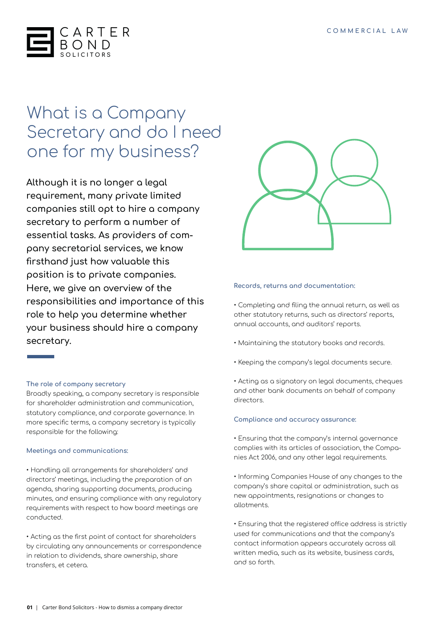

# What is a Company Secretary and do I need one for my business?

**Although it is no longer a legal requirement, many private limited companies still opt to hire a company secretary to perform a number of essential tasks. As providers of company secretarial services, we know firsthand just how valuable this position is to private companies. Here, we give an overview of the responsibilities and importance of this role to help you determine whether your business should hire a company secretary.**

## **The role of company secretary**

Broadly speaking, a company secretary is responsible for shareholder administration and communication, statutory compliance, and corporate governance. In more specific terms, a company secretary is typically responsible for the following:

## **Meetings and communications:**

• Handling all arrangements for shareholders' and directors' meetings, including the preparation of an agenda, sharing supporting documents, producing minutes, and ensuring compliance with any regulatory requirements with respect to how board meetings are conducted.

• Acting as the first point of contact for shareholders by circulating any announcements or correspondence in relation to dividends, share ownership, share transfers, et cetera.



#### **Records, returns and documentation:**

• Completing and filing the annual return, as well as other statutory returns, such as directors' reports, annual accounts, and auditors' reports.

- Maintaining the statutory books and records.
- Keeping the company's legal documents secure.
- Acting as a signatory on legal documents, cheques and other bank documents on behalf of company directors.

## **Compliance and accuracy assurance:**

• Ensuring that the company's internal governance complies with its articles of association, the Companies Act 2006, and any other legal requirements.

• Informing Companies House of any changes to the company's share capital or administration, such as new appointments, resignations or changes to allotments.

• Ensuring that the registered office address is strictly used for communications and that the company's contact information appears accurately across all written media, such as its website, business cards, and so forth.